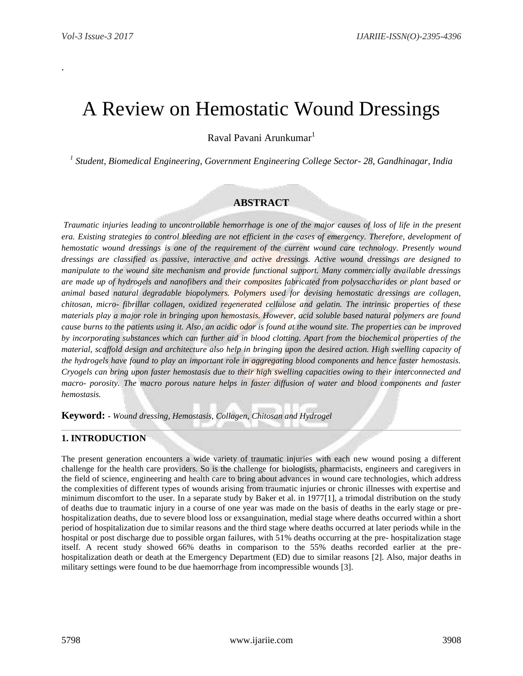.

# A Review on Hemostatic Wound Dressings

# Raval Pavani Arunkumar<sup>1</sup>

*1 Student, Biomedical Engineering, Government Engineering College Sector- 28, Gandhinagar, India*

# **ABSTRACT**

*Traumatic injuries leading to uncontrollable hemorrhage is one of the major causes of loss of life in the present era. Existing strategies to control bleeding are not efficient in the cases of emergency. Therefore, development of hemostatic wound dressings is one of the requirement of the current wound care technology. Presently wound dressings are classified as passive, interactive and active dressings. Active wound dressings are designed to manipulate to the wound site mechanism and provide functional support. Many commercially available dressings are made up of hydrogels and nanofibers and their composites fabricated from polysaccharides or plant based or animal based natural degradable biopolymers. Polymers used for devising hemostatic dressings are collagen, chitosan, micro- fibrillar collagen, oxidized regenerated cellulose and gelatin. The intrinsic properties of these materials play a major role in bringing upon hemostasis. However, acid soluble based natural polymers are found cause burns to the patients using it. Also, an acidic odor is found at the wound site. The properties can be improved by incorporating substances which can further aid in blood clotting. Apart from the biochemical properties of the material, scaffold design and architecture also help in bringing upon the desired action. High swelling capacity of the hydrogels have found to play an important role in aggregating blood components and hence faster hemostasis. Cryogels can bring upon faster hemostasis due to their high swelling capacities owing to their interconnected and macro- porosity. The macro porous nature helps in faster diffusion of water and blood components and faster hemostasis.* 

**Keyword: -** *Wound dressing, Hemostasis, Collagen, Chitosan and Hydrogel*

# **1. INTRODUCTION**

The present generation encounters a wide variety of traumatic injuries with each new wound posing a different challenge for the health care providers. So is the challenge for biologists, pharmacists, engineers and caregivers in the field of science, engineering and health care to bring about advances in wound care technologies, which address the complexities of different types of wounds arising from traumatic injuries or chronic illnesses with expertise and minimum discomfort to the user. In a separate study by Baker et al. in 1977[1], a trimodal distribution on the study of deaths due to traumatic injury in a course of one year was made on the basis of deaths in the early stage or prehospitalization deaths, due to severe blood loss or exsanguination, medial stage where deaths occurred within a short period of hospitalization due to similar reasons and the third stage where deaths occurred at later periods while in the hospital or post discharge due to possible organ failures, with 51% deaths occurring at the pre- hospitalization stage itself. A recent study showed 66% deaths in comparison to the 55% deaths recorded earlier at the prehospitalization death or death at the Emergency Department (ED) due to similar reasons [2]. Also, major deaths in military settings were found to be due haemorrhage from incompressible wounds [3].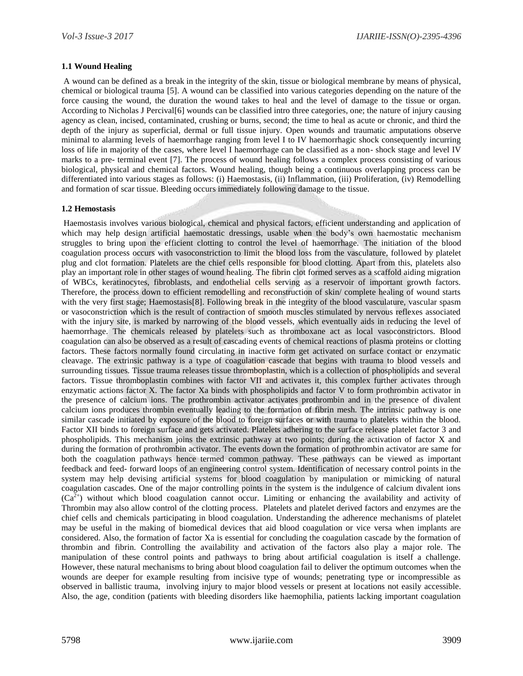#### **1.1 Wound Healing**

A wound can be defined as a break in the integrity of the skin, tissue or biological membrane by means of physical, chemical or biological trauma [5]. A wound can be classified into various categories depending on the nature of the force causing the wound, the duration the wound takes to heal and the level of damage to the tissue or organ. According to Nicholas J Percival[6] wounds can be classified intro three categories, one; the nature of injury causing agency as clean, incised, contaminated, crushing or burns, second; the time to heal as acute or chronic, and third the depth of the injury as superficial, dermal or full tissue injury. Open wounds and traumatic amputations observe minimal to alarming levels of haemorrhage ranging from level I to IV haemorrhagic shock consequently incurring loss of life in majority of the cases, where level I haemorrhage can be classified as a non- shock stage and level IV marks to a pre- terminal event [7]. The process of wound healing follows a complex process consisting of various biological, physical and chemical factors. Wound healing, though being a continuous overlapping process can be differentiated into various stages as follows: (i) Haemostasis, (ii) Inflammation, (iii) Proliferation, (iv) Remodelling and formation of scar tissue. Bleeding occurs immediately following damage to the tissue.

#### **1.2 Hemostasis**

Haemostasis involves various biological, chemical and physical factors, efficient understanding and application of which may help design artificial haemostatic dressings, usable when the body's own haemostatic mechanism struggles to bring upon the efficient clotting to control the level of haemorrhage. The initiation of the blood coagulation process occurs with vasoconstriction to limit the blood loss from the vasculature, followed by platelet plug and clot formation. Platelets are the chief cells responsible for blood clotting. Apart from this, platelets also play an important role in other stages of wound healing. The fibrin clot formed serves as a scaffold aiding migration of WBCs, keratinocytes, fibroblasts, and endothelial cells serving as a reservoir of important growth factors. Therefore, the process down to efficient remodelling and reconstruction of skin/ complete healing of wound starts with the very first stage; Haemostasis<sup>[8]</sup>. Following break in the integrity of the blood vasculature, vascular spasm or vasoconstriction which is the result of contraction of smooth muscles stimulated by nervous reflexes associated with the injury site, is marked by narrowing of the blood vessels, which eventually aids in reducing the level of haemorrhage. The chemicals released by platelets such as thromboxane act as local vasoconstrictors. Blood coagulation can also be observed as a result of cascading events of chemical reactions of plasma proteins or clotting factors. These factors normally found circulating in inactive form get activated on surface contact or enzymatic cleavage. The extrinsic pathway is a type of coagulation cascade that begins with trauma to blood vessels and surrounding tissues. Tissue trauma releases tissue thromboplastin, which is a collection of phospholipids and several factors. Tissue thromboplastin combines with factor VII and activates it, this complex further activates through enzymatic actions factor X. The factor Xa binds with phospholipids and factor V to form prothrombin activator in the presence of calcium ions. The prothrombin activator activates prothrombin and in the presence of divalent calcium ions produces thrombin eventually leading to the formation of fibrin mesh. The intrinsic pathway is one similar cascade initiated by exposure of the blood to foreign surfaces or with trauma to platelets within the blood. Factor XII binds to foreign surface and gets activated. Platelets adhering to the surface release platelet factor 3 and phospholipids. This mechanism joins the extrinsic pathway at two points; during the activation of factor X and during the formation of prothrombin activator. The events down the formation of prothrombin activator are same for both the coagulation pathways hence termed common pathway. These pathways can be viewed as important feedback and feed- forward loops of an engineering control system. Identification of necessary control points in the system may help devising artificial systems for blood coagulation by manipulation or mimicking of natural coagulation cascades. One of the major controlling points in the system is the indulgence of calcium divalent ions  $(Ca<sup>2+</sup>)$  without which blood coagulation cannot occur. Limiting or enhancing the availability and activity of Thrombin may also allow control of the clotting process. Platelets and platelet derived factors and enzymes are the chief cells and chemicals participating in blood coagulation. Understanding the adherence mechanisms of platelet may be useful in the making of biomedical devices that aid blood coagulation or vice versa when implants are considered. Also, the formation of factor Xa is essential for concluding the coagulation cascade by the formation of thrombin and fibrin. Controlling the availability and activation of the factors also play a major role. The manipulation of these control points and pathways to bring about artificial coagulation is itself a challenge. However, these natural mechanisms to bring about blood coagulation fail to deliver the optimum outcomes when the wounds are deeper for example resulting from incisive type of wounds; penetrating type or incompressible as observed in ballistic trauma, involving injury to major blood vessels or present at locations not easily accessible. Also, the age, condition (patients with bleeding disorders like haemophilia, patients lacking important coagulation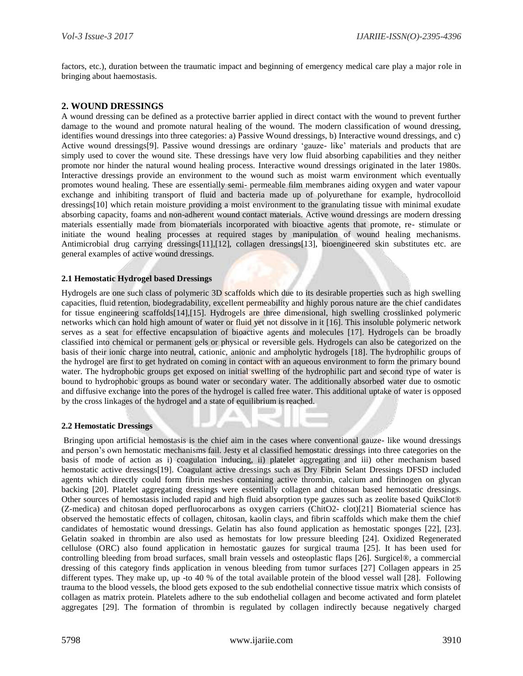factors, etc.), duration between the traumatic impact and beginning of emergency medical care play a major role in bringing about haemostasis.

#### **2. WOUND DRESSINGS**

A wound dressing can be defined as a protective barrier applied in direct contact with the wound to prevent further damage to the wound and promote natural healing of the wound. The modern classification of wound dressing, identifies wound dressings into three categories: a) Passive Wound dressings, b) Interactive wound dressings, and c) Active wound dressings[9]. Passive wound dressings are ordinary 'gauze- like' materials and products that are simply used to cover the wound site. These dressings have very low fluid absorbing capabilities and they neither promote nor hinder the natural wound healing process. Interactive wound dressings originated in the later 1980s. Interactive dressings provide an environment to the wound such as moist warm environment which eventually promotes wound healing. These are essentially semi- permeable film membranes aiding oxygen and water vapour exchange and inhibiting transport of fluid and bacteria made up of polyurethane for example, hydrocolloid dressings[10] which retain moisture providing a moist environment to the granulating tissue with minimal exudate absorbing capacity, foams and non-adherent wound contact materials. Active wound dressings are modern dressing materials essentially made from biomaterials incorporated with bioactive agents that promote, re- stimulate or initiate the wound healing processes at required stages by manipulation of wound healing mechanisms. Antimicrobial drug carrying dressings[11],[12], collagen dressings[13], bioengineered skin substitutes etc. are general examples of active wound dressings.

#### **2.1 Hemostatic Hydrogel based Dressings**

Hydrogels are one such class of polymeric 3D scaffolds which due to its desirable properties such as high swelling capacities, fluid retention, biodegradability, excellent permeability and highly porous nature are the chief candidates for tissue engineering scaffolds[14],[15]. Hydrogels are three dimensional, high swelling crosslinked polymeric networks which can hold high amount of water or fluid yet not dissolve in it [16]. This insoluble polymeric network serves as a seat for effective encapsulation of bioactive agents and molecules [17]. Hydrogels can be broadly classified into chemical or permanent gels or physical or reversible gels. Hydrogels can also be categorized on the basis of their ionic charge into neutral, cationic, anionic and ampholytic hydrogels [18]. The hydrophilic groups of the hydrogel are first to get hydrated on coming in contact with an aqueous environment to form the primary bound water. The hydrophobic groups get exposed on initial swelling of the hydrophilic part and second type of water is bound to hydrophobic groups as bound water or secondary water. The additionally absorbed water due to osmotic and diffusive exchange into the pores of the hydrogel is called free water. This additional uptake of water is opposed by the cross linkages of the hydrogel and a state of equilibrium is reached.

#### **2.2 Hemostatic Dressings**

Bringing upon artificial hemostasis is the chief aim in the cases where conventional gauze- like wound dressings and person's own hemostatic mechanisms fail. Jesty et al classified hemostatic dressings into three categories on the basis of mode of action as i) coagulation inducing, ii) platelet aggregating and iii) other mechanism based hemostatic active dressings[19]. Coagulant active dressings such as Dry Fibrin Selant Dressings DFSD included agents which directly could form fibrin meshes containing active thrombin, calcium and fibrinogen on glycan backing [20]. Platelet aggregating dressings were essentially collagen and chitosan based hemostatic dressings. Other sources of hemostasis included rapid and high fluid absorption type gauzes such as zeolite based QuikClot® (Z-medica) and chitosan doped perfluorocarbons as oxygen carriers (ChitO2- clot)[21] Biomaterial science has observed the hemostatic effects of collagen, chitosan, kaolin clays, and fibrin scaffolds which make them the chief candidates of hemostatic wound dressings. Gelatin has also found application as hemostatic sponges [22], [23]. Gelatin soaked in thrombin are also used as hemostats for low pressure bleeding [24]. Oxidized Regenerated cellulose (ORC) also found application in hemostatic gauzes for surgical trauma [25]. It has been used for controlling bleeding from broad surfaces, small brain vessels and osteoplastic flaps [26]. Surgicel®, a commercial dressing of this category finds application in venous bleeding from tumor surfaces [27] Collagen appears in 25 different types. They make up, up -to 40 % of the total available protein of the blood vessel wall [28]. Following trauma to the blood vessels, the blood gets exposed to the sub endothelial connective tissue matrix which consists of collagen as matrix protein. Platelets adhere to the sub endothelial collagen and become activated and form platelet aggregates [29]. The formation of thrombin is regulated by collagen indirectly because negatively charged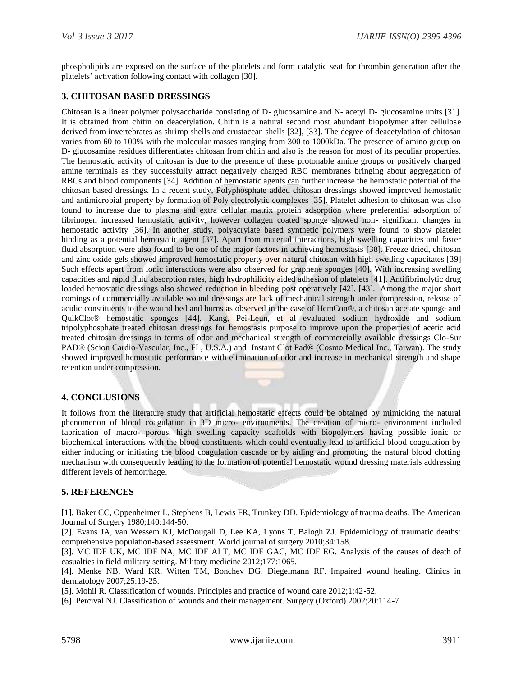phospholipids are exposed on the surface of the platelets and form catalytic seat for thrombin generation after the platelets' activation following contact with collagen [30].

## **3. CHITOSAN BASED DRESSINGS**

Chitosan is a linear polymer polysaccharide consisting of D- glucosamine and N- acetyl D- glucosamine units [31]. It is obtained from chitin on deacetylation. Chitin is a natural second most abundant biopolymer after cellulose derived from invertebrates as shrimp shells and crustacean shells [32], [33]. The degree of deacetylation of chitosan varies from 60 to 100% with the molecular masses ranging from 300 to 1000kDa. The presence of amino group on D- glucosamine residues differentiates chitosan from chitin and also is the reason for most of its peculiar properties. The hemostatic activity of chitosan is due to the presence of these protonable amine groups or positively charged amine terminals as they successfully attract negatively charged RBC membranes bringing about aggregation of RBCs and blood components [34]. Addition of hemostatic agents can further increase the hemostatic potential of the chitosan based dressings. In a recent study, Polyphosphate added chitosan dressings showed improved hemostatic and antimicrobial property by formation of Poly electrolytic complexes [35]. Platelet adhesion to chitosan was also found to increase due to plasma and extra cellular matrix protein adsorption where preferential adsorption of fibrinogen increased hemostatic activity, however collagen coated sponge showed non- significant changes in hemostatic activity [36]. In another study, polyacrylate based synthetic polymers were found to show platelet binding as a potential hemostatic agent [37]. Apart from material interactions, high swelling capacities and faster fluid absorption were also found to be one of the major factors in achieving hemostasis [38]. Freeze dried, chitosan and zinc oxide gels showed improved hemostatic property over natural chitosan with high swelling capacitates [39] Such effects apart from ionic interactions were also observed for graphene sponges [40]. With increasing swelling capacities and rapid fluid absorption rates, high hydrophilicity aided adhesion of platelets [41]. Antifibrinolytic drug loaded hemostatic dressings also showed reduction in bleeding post operatively [42], [43]. Among the major short comings of commercially available wound dressings are lack of mechanical strength under compression, release of acidic constituents to the wound bed and burns as observed in the case of HemCon®, a chitosan acetate sponge and QuikClot® hemostatic sponges [44]. Kang, Pei-Leun, et al evaluated sodium hydroxide and sodium tripolyphosphate treated chitosan dressings for hemostasis purpose to improve upon the properties of acetic acid treated chitosan dressings in terms of odor and mechanical strength of commercially available dressings Clo-Sur PAD® (Scion Cardio-Vascular, Inc., FL, U.S.A.) and Instant Clot Pad® (Cosmo Medical Inc., Taiwan). The study showed improved hemostatic performance with elimination of odor and increase in mechanical strength and shape retention under compression.

### **4. CONCLUSIONS**

It follows from the literature study that artificial hemostatic effects could be obtained by mimicking the natural phenomenon of blood coagulation in 3D micro- environments. The creation of micro- environment included fabrication of macro- porous, high swelling capacity scaffolds with biopolymers having possible ionic or biochemical interactions with the blood constituents which could eventually lead to artificial blood coagulation by either inducing or initiating the blood coagulation cascade or by aiding and promoting the natural blood clotting mechanism with consequently leading to the formation of potential hemostatic wound dressing materials addressing different levels of hemorrhage.

### **5. REFERENCES**

[1]. Baker CC, Oppenheimer L, Stephens B, Lewis FR, Trunkey DD. Epidemiology of trauma deaths. The American Journal of Surgery 1980;140:144-50.

[2]. Evans JA, van Wessem KJ, McDougall D, Lee KA, Lyons T, Balogh ZJ. Epidemiology of traumatic deaths: comprehensive population-based assessment. World journal of surgery 2010;34:158.

[3]. MC IDF UK, MC IDF NA, MC IDF ALT, MC IDF GAC, MC IDF EG. Analysis of the causes of death of casualties in field military setting. Military medicine 2012;177:1065.

[4]. Menke NB, Ward KR, Witten TM, Bonchev DG, Diegelmann RF. Impaired wound healing. Clinics in dermatology 2007;25:19-25.

[5]. Mohil R. Classification of wounds. Principles and practice of wound care 2012;1:42-52.

[6] Percival NJ. Classification of wounds and their management. Surgery (Oxford) 2002;20:114-7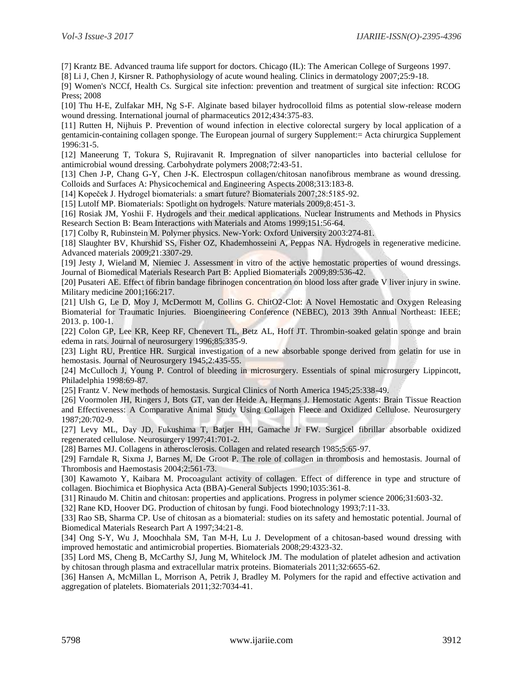[7] Krantz BE. Advanced trauma life support for doctors. Chicago (IL): The American College of Surgeons 1997.

[8] Li J, Chen J, Kirsner R. Pathophysiology of acute wound healing. Clinics in dermatology 2007;25:9-18.

[9] Women's NCCf, Health Cs. Surgical site infection: prevention and treatment of surgical site infection: RCOG Press; 2008

[10] Thu H-E, Zulfakar MH, Ng S-F. Alginate based bilayer hydrocolloid films as potential slow-release modern wound dressing. International journal of pharmaceutics 2012;434:375-83.

[11] Rutten H, Nijhuis P. Prevention of wound infection in elective colorectal surgery by local application of a gentamicin-containing collagen sponge. The European journal of surgery Supplement:= Acta chirurgica Supplement 1996:31-5.

[12] Maneerung T, Tokura S, Rujiravanit R. Impregnation of silver nanoparticles into bacterial cellulose for antimicrobial wound dressing. Carbohydrate polymers 2008;72:43-51.

[13] Chen J-P, Chang G-Y, Chen J-K. Electrospun collagen/chitosan nanofibrous membrane as wound dressing. Colloids and Surfaces A: Physicochemical and Engineering Aspects 2008;313:183-8.

[14] Kopeček J. Hydrogel biomaterials: a smart future? Biomaterials 2007;28:5185-92.

[15] Lutolf MP. Biomaterials: Spotlight on hydrogels. Nature materials 2009;8:451-3.

[16] Rosiak JM, Yoshii F. Hydrogels and their medical applications. Nuclear Instruments and Methods in Physics Research Section B: Beam Interactions with Materials and Atoms 1999;151:56-64.

[17] Colby R, Rubinstein M. Polymer physics. New-York: Oxford University 2003:274-81.

[18] Slaughter BV, Khurshid SS, Fisher OZ, Khademhosseini A, Peppas NA. Hydrogels in regenerative medicine. Advanced materials 2009;21:3307-29.

[19] Jesty J, Wieland M, Niemiec J. Assessment in vitro of the active hemostatic properties of wound dressings. Journal of Biomedical Materials Research Part B: Applied Biomaterials 2009;89:536-42.

[20] Pusateri AE. Effect of fibrin bandage fibrinogen concentration on blood loss after grade V liver injury in swine. Military medicine 2001;166:217.

[21] Ulsh G, Le D, Moy J, McDermott M, Collins G. ChitO2-Clot: A Novel Hemostatic and Oxygen Releasing Biomaterial for Traumatic Injuries. Bioengineering Conference (NEBEC), 2013 39th Annual Northeast: IEEE; 2013. p. 100-1.

[22] Colon GP, Lee KR, Keep RF, Chenevert TL, Betz AL, Hoff JT. Thrombin-soaked gelatin sponge and brain edema in rats. Journal of neurosurgery 1996;85:335-9.

[23] Light RU, Prentice HR. Surgical investigation of a new absorbable sponge derived from gelatin for use in hemostasis. Journal of Neurosurgery 1945;2:435-55.

[24] McCulloch J, Young P. Control of bleeding in microsurgery. Essentials of spinal microsurgery Lippincott, Philadelphia 1998:69-87.

[25] Frantz V. New methods of hemostasis. Surgical Clinics of North America 1945;25:338-49.

[26] Voormolen JH, Ringers J, Bots GT, van der Heide A, Hermans J. Hemostatic Agents: Brain Tissue Reaction and Effectiveness: A Comparative Animal Study Using Collagen Fleece and Oxidized Cellulose. Neurosurgery 1987;20:702-9.

[27] Levy ML, Day JD, Fukushima T, Batjer HH, Gamache Jr FW. Surgicel fibrillar absorbable oxidized regenerated cellulose. Neurosurgery 1997;41:701-2.

[28] Barnes MJ. Collagens in atherosclerosis. Collagen and related research 1985;5:65-97.

[29] Farndale R, Sixma J, Barnes M, De Groot P. The role of collagen in thrombosis and hemostasis. Journal of Thrombosis and Haemostasis 2004;2:561-73.

[30] Kawamoto Y, Kaibara M. Procoagulant activity of collagen. Effect of difference in type and structure of collagen. Biochimica et Biophysica Acta (BBA)-General Subjects 1990;1035:361-8.

[31] Rinaudo M. Chitin and chitosan: properties and applications. Progress in polymer science 2006;31:603-32.

[32] Rane KD, Hoover DG. Production of chitosan by fungi. Food biotechnology 1993;7:11-33.

[33] Rao SB, Sharma CP. Use of chitosan as a biomaterial: studies on its safety and hemostatic potential. Journal of Biomedical Materials Research Part A 1997;34:21-8.

[34] Ong S-Y, Wu J, Moochhala SM, Tan M-H, Lu J. Development of a chitosan-based wound dressing with improved hemostatic and antimicrobial properties. Biomaterials 2008;29:4323-32.

[35] Lord MS, Cheng B, McCarthy SJ, Jung M, Whitelock JM. The modulation of platelet adhesion and activation by chitosan through plasma and extracellular matrix proteins. Biomaterials 2011;32:6655-62.

[36] Hansen A, McMillan L, Morrison A, Petrik J, Bradley M. Polymers for the rapid and effective activation and aggregation of platelets. Biomaterials 2011;32:7034-41.